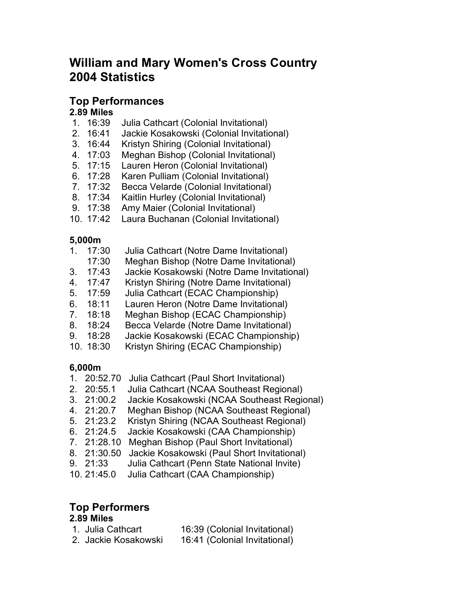# **William and Mary Women's Cross Country 2004 Statistics**

## **Top Performances**

### **2.89 Miles**

- 1. 16:39 Julia Cathcart (Colonial Invitational)
- 2. 16:41 Jackie Kosakowski (Colonial Invitational)
- 3. 16:44 Kristyn Shiring (Colonial Invitational)
- 4. 17:03 Meghan Bishop (Colonial Invitational)
- 5. 17:15 Lauren Heron (Colonial Invitational)
- 6. 17:28 Karen Pulliam (Colonial Invitational)
- 7. 17:32 Becca Velarde (Colonial Invitational)
- 8. 17:34 Kaitlin Hurley (Colonial Invitational)
- 9. 17:38 Amy Maier (Colonial Invitational)
- 10. 17:42 Laura Buchanan (Colonial Invitational)

#### **5,000m**

|             | 17:30     | Julia Cathcart (Notre Dame Invitational)    |  |
|-------------|-----------|---------------------------------------------|--|
|             | 17:30     | Meghan Bishop (Notre Dame Invitational)     |  |
| 3.          | 17:43     | Jackie Kosakowski (Notre Dame Invitational) |  |
| 4.          | 17:47     | Kristyn Shiring (Notre Dame Invitational)   |  |
| 5.          | 17:59     | Julia Cathcart (ECAC Championship)          |  |
| 6.          | 18:11     | Lauren Heron (Notre Dame Invitational)      |  |
| $7^{\circ}$ | 18:18     | Meghan Bishop (ECAC Championship)           |  |
| 8.          | 18:24     | Becca Velarde (Notre Dame Invitational)     |  |
| 9.          | 18:28     | Jackie Kosakowski (ECAC Championship)       |  |
|             | 10. 18:30 | Kristyn Shiring (ECAC Championship)         |  |
|             |           |                                             |  |

### **6,000m**

- 1. 20:52.70 Julia Cathcart (Paul Short Invitational)
- 2. 20:55.1 Julia Cathcart (NCAA Southeast Regional)
- Jackie Kosakowski (NCAA Southeast Regional)
- 4. 21:20.7 Meghan Bishop (NCAA Southeast Regional)
- 5. 21:23.2 Kristyn Shiring (NCAA Southeast Regional)
- 6. 21:24.5 Jackie Kosakowski (CAA Championship)
- 7. 21:28.10 Meghan Bishop (Paul Short Invitational)
- 8. 21:30.50 Jackie Kosakowski (Paul Short Invitational)
- 9. 21:33 Julia Cathcart (Penn State National Invite)
- 10. 21:45.0 Julia Cathcart (CAA Championship)

## **Top Performers**

# **2.89 Miles**

| 1. Julia Cathcart    | 16:39 (Colonial Invitational) |
|----------------------|-------------------------------|
| 2. Jackie Kosakowski | 16:41 (Colonial Invitational) |